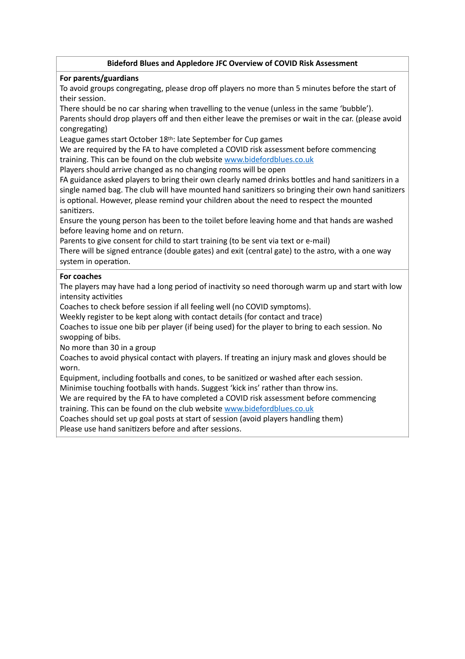## **Bideford Blues and Appledore JFC Overview of COVID Risk Assessment**

## **For parents/guardians**

To avoid groups congregating, please drop off players no more than 5 minutes before the start of their session.

There should be no car sharing when travelling to the venue (unless in the same 'bubble'). Parents should drop players off and then either leave the premises or wait in the car. (please avoid congregating)

League games start October 18th: late September for Cup games

We are required by the FA to have completed a COVID risk assessment before commencing training. This can be found on the club website [www.bidefordblues.co.uk](http://www.bidefordblues.co.uk)

Players should arrive changed as no changing rooms will be open

FA guidance asked players to bring their own clearly named drinks bottles and hand sanitizers in a single named bag. The club will have mounted hand sanitizers so bringing their own hand sanitizers is optional. However, please remind your children about the need to respect the mounted sanitizers.

Ensure the young person has been to the toilet before leaving home and that hands are washed before leaving home and on return.

Parents to give consent for child to start training (to be sent via text or e-mail)

There will be signed entrance (double gates) and exit (central gate) to the astro, with a one way system in operation.

## **For coaches**

The players may have had a long period of inactivity so need thorough warm up and start with low intensity activities

Coaches to check before session if all feeling well (no COVID symptoms).

Weekly register to be kept along with contact details (for contact and trace)

Coaches to issue one bib per player (if being used) for the player to bring to each session. No swopping of bibs.

No more than 30 in a group

Coaches to avoid physical contact with players. If treating an injury mask and gloves should be worn.

Equipment, including footballs and cones, to be sanitized or washed after each session.

Minimise touching footballs with hands. Suggest 'kick ins' rather than throw ins.

We are required by the FA to have completed a COVID risk assessment before commencing training. This can be found on the club website [www.bidefordblues.co.uk](http://www.bidefordblues.co.uk)

Coaches should set up goal posts at start of session (avoid players handling them) Please use hand sanitizers before and after sessions.